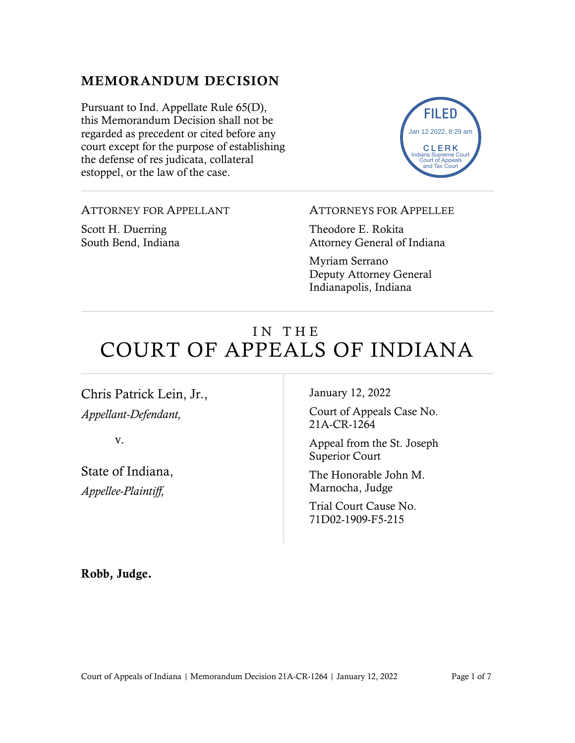#### MEMORANDUM DECISION

Pursuant to Ind. Appellate Rule 65(D), this Memorandum Decision shall not be regarded as precedent or cited before any court except for the purpose of establishing the defense of res judicata, collateral estoppel, or the law of the case.



#### ATTORNEY FOR APPELLANT

Scott H. Duerring South Bend, Indiana

#### ATTORNEYS FOR APPELLEE

Theodore E. Rokita Attorney General of Indiana

Myriam Serrano Deputy Attorney General Indianapolis, Indiana

# IN THE COURT OF APPEALS OF INDIANA

Chris Patrick Lein, Jr., *Appellant-Defendant,*

v.

State of Indiana, *Appellee-Plaintiff,*

January 12, 2022

Court of Appeals Case No. 21A-CR-1264

Appeal from the St. Joseph Superior Court

The Honorable John M. Marnocha, Judge

Trial Court Cause No. 71D02-1909-F5-215

Robb, Judge.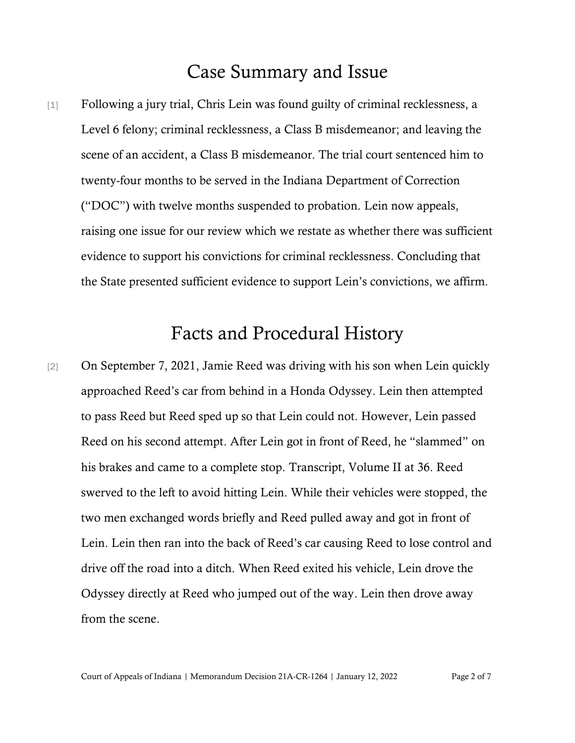## Case Summary and Issue

[1] Following a jury trial, Chris Lein was found guilty of criminal recklessness, a Level 6 felony; criminal recklessness, a Class B misdemeanor; and leaving the scene of an accident, a Class B misdemeanor. The trial court sentenced him to twenty-four months to be served in the Indiana Department of Correction ("DOC") with twelve months suspended to probation. Lein now appeals, raising one issue for our review which we restate as whether there was sufficient evidence to support his convictions for criminal recklessness. Concluding that the State presented sufficient evidence to support Lein's convictions, we affirm.

## Facts and Procedural History

[2] On September 7, 2021, Jamie Reed was driving with his son when Lein quickly approached Reed's car from behind in a Honda Odyssey. Lein then attempted to pass Reed but Reed sped up so that Lein could not. However, Lein passed Reed on his second attempt. After Lein got in front of Reed, he "slammed" on his brakes and came to a complete stop. Transcript, Volume II at 36. Reed swerved to the left to avoid hitting Lein. While their vehicles were stopped, the two men exchanged words briefly and Reed pulled away and got in front of Lein. Lein then ran into the back of Reed's car causing Reed to lose control and drive off the road into a ditch. When Reed exited his vehicle, Lein drove the Odyssey directly at Reed who jumped out of the way. Lein then drove away from the scene.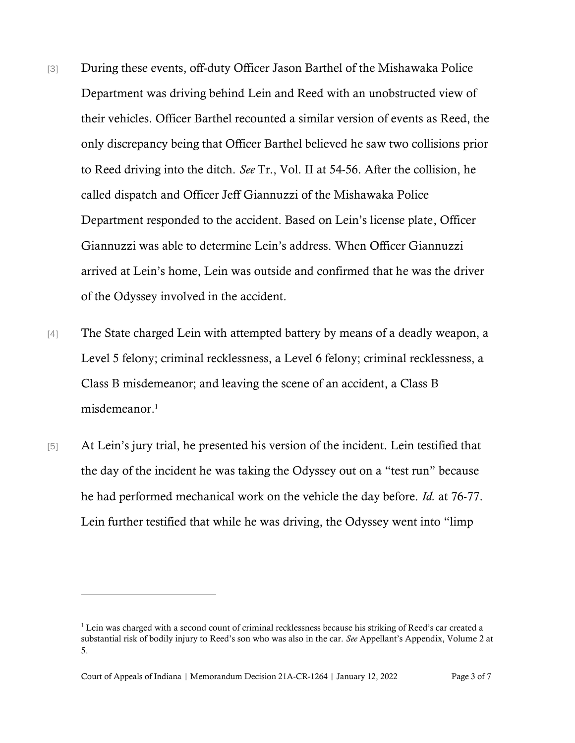- [3] During these events, off-duty Officer Jason Barthel of the Mishawaka Police Department was driving behind Lein and Reed with an unobstructed view of their vehicles. Officer Barthel recounted a similar version of events as Reed, the only discrepancy being that Officer Barthel believed he saw two collisions prior to Reed driving into the ditch. *See* Tr., Vol. II at 54-56. After the collision, he called dispatch and Officer Jeff Giannuzzi of the Mishawaka Police Department responded to the accident. Based on Lein's license plate, Officer Giannuzzi was able to determine Lein's address. When Officer Giannuzzi arrived at Lein's home, Lein was outside and confirmed that he was the driver of the Odyssey involved in the accident.
- [4] The State charged Lein with attempted battery by means of a deadly weapon, a Level 5 felony; criminal recklessness, a Level 6 felony; criminal recklessness, a Class B misdemeanor; and leaving the scene of an accident, a Class B misdemeanor. 1
- [5] At Lein's jury trial, he presented his version of the incident. Lein testified that the day of the incident he was taking the Odyssey out on a "test run" because he had performed mechanical work on the vehicle the day before. *Id.* at 76-77. Lein further testified that while he was driving, the Odyssey went into "limp

<sup>&</sup>lt;sup>1</sup> Lein was charged with a second count of criminal recklessness because his striking of Reed's car created a substantial risk of bodily injury to Reed's son who was also in the car. *See* Appellant's Appendix, Volume 2 at 5.

Court of Appeals of Indiana | Memorandum Decision 21A-CR-1264 | January 12, 2022 Page 3 of 7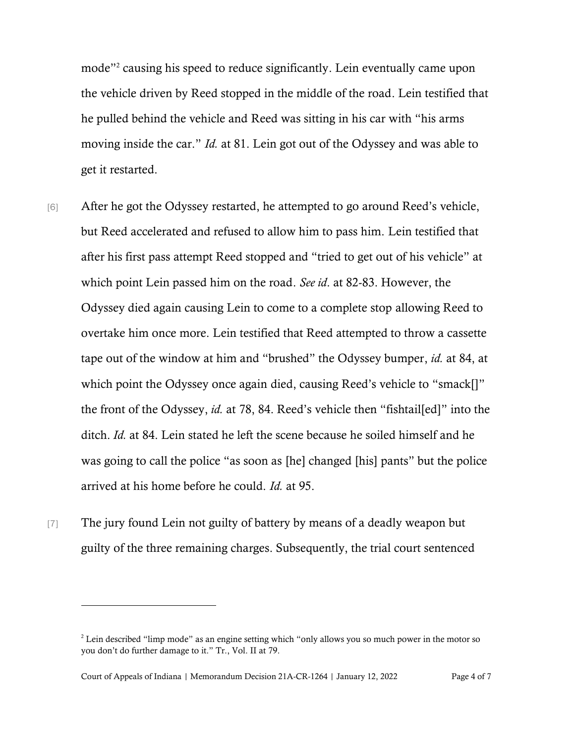mode"<sup>2</sup> causing his speed to reduce significantly. Lein eventually came upon the vehicle driven by Reed stopped in the middle of the road. Lein testified that he pulled behind the vehicle and Reed was sitting in his car with "his arms moving inside the car." *Id.* at 81. Lein got out of the Odyssey and was able to get it restarted.

- [6] After he got the Odyssey restarted, he attempted to go around Reed's vehicle, but Reed accelerated and refused to allow him to pass him. Lein testified that after his first pass attempt Reed stopped and "tried to get out of his vehicle" at which point Lein passed him on the road. *See id*. at 82-83. However, the Odyssey died again causing Lein to come to a complete stop allowing Reed to overtake him once more. Lein testified that Reed attempted to throw a cassette tape out of the window at him and "brushed" the Odyssey bumper, *id.* at 84, at which point the Odyssey once again died, causing Reed's vehicle to "smack[]" the front of the Odyssey, *id.* at 78, 84. Reed's vehicle then "fishtail[ed]" into the ditch. *Id.* at 84. Lein stated he left the scene because he soiled himself and he was going to call the police "as soon as [he] changed [his] pants" but the police arrived at his home before he could. *Id.* at 95.
- [7] The jury found Lein not guilty of battery by means of a deadly weapon but guilty of the three remaining charges. Subsequently, the trial court sentenced

<sup>&</sup>lt;sup>2</sup> Lein described "limp mode" as an engine setting which "only allows you so much power in the motor so you don't do further damage to it." Tr., Vol. II at 79.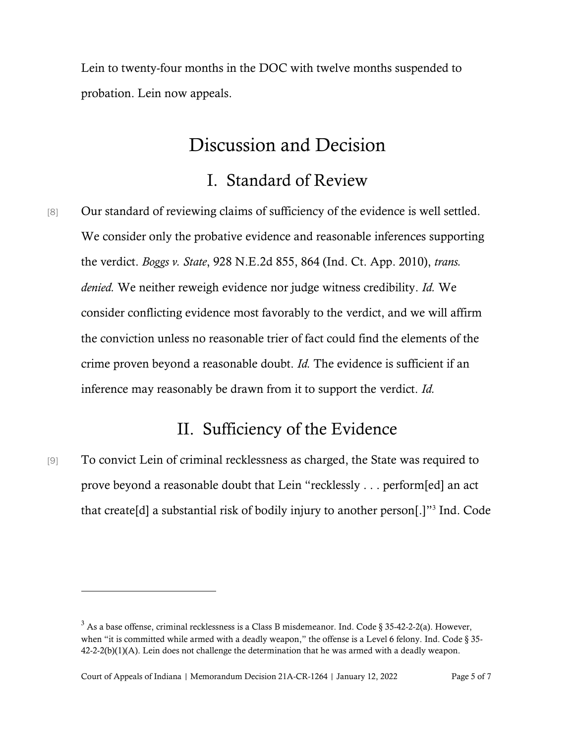Lein to twenty-four months in the DOC with twelve months suspended to probation. Lein now appeals.

## Discussion and Decision

#### I. Standard of Review

[8] Our standard of reviewing claims of sufficiency of the evidence is well settled. We consider only the probative evidence and reasonable inferences supporting the verdict. *Boggs v. State*, 928 N.E.2d 855, 864 (Ind. Ct. App. 2010), *trans. denied.* We neither reweigh evidence nor judge witness credibility. *Id.* We consider conflicting evidence most favorably to the verdict, and we will affirm the conviction unless no reasonable trier of fact could find the elements of the crime proven beyond a reasonable doubt. *[Id.](https://1.next.westlaw.com/Link/Document/FullText?findType=Y&serNum=2022310051&originatingDoc=I0827dfb96f3b11e1be29b2facdefeebe&refType=RP&originationContext=document&transitionType=DocumentItem&contextData=(sc.Search))* The evidence is sufficient if an inference may reasonably be drawn from it to support the verdict. *[Id.](https://1.next.westlaw.com/Link/Document/FullText?findType=Y&serNum=2022310051&originatingDoc=I0827dfb96f3b11e1be29b2facdefeebe&refType=RP&originationContext=document&transitionType=DocumentItem&contextData=(sc.Search))*

### II. Sufficiency of the Evidence

[9] To convict Lein of criminal recklessness as charged, the State was required to prove beyond a reasonable doubt that Lein "recklessly . . . perform[ed] an act that create[d] a substantial risk of bodily injury to another person[.]"<sup>3</sup> Ind. Code

 $3$  As a base offense, criminal recklessness is a Class B misdemeanor. Ind. Code § 35-42-2-2(a). However, when "it is committed while armed with a deadly weapon," the offense is a Level 6 felony. Ind. Code § 35-42-2-2(b)(1)(A). Lein does not challenge the determination that he was armed with a deadly weapon.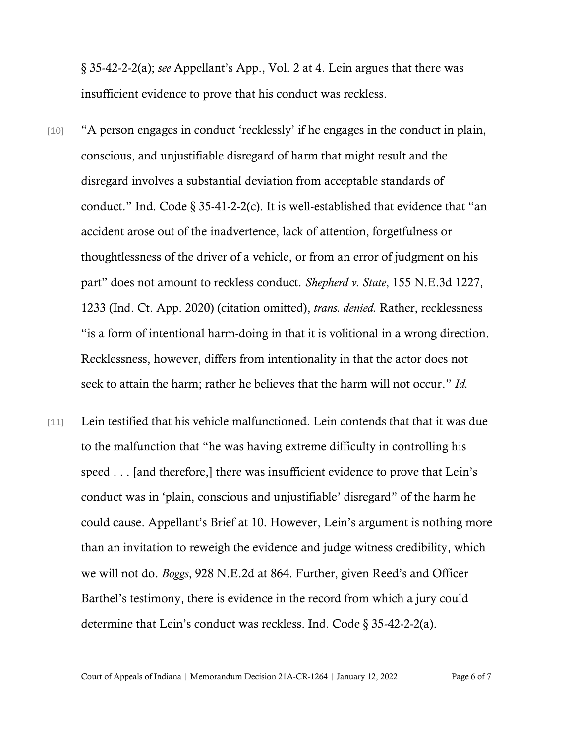§ 35-42-2-2(a); *see* Appellant's App., Vol. 2 at 4. Lein argues that there was insufficient evidence to prove that his conduct was reckless.

- [10] "A person engages in conduct 'recklessly' if he engages in the conduct in plain, conscious, and unjustifiable disregard of harm that might result and the disregard involves a substantial deviation from acceptable standards of conduct." Ind. Code  $\S 35-41-2-2(c)$ . It is well-established that evidence that "an accident arose out of the inadvertence, lack of attention, forgetfulness or thoughtlessness of the driver of a vehicle, or from an error of judgment on his part" does not amount to reckless conduct. *Shepherd v. State*, 155 N.E.3d 1227, 1233 (Ind. Ct. App. 2020) (citation omitted), *trans. denied.* Rather, recklessness "is a form of intentional harm-doing in that it is volitional in a wrong direction. Recklessness, however, differs from intentionality in that the actor does not seek to attain the harm; rather he believes that the harm will not occur." *Id.*
- [11] Lein testified that his vehicle malfunctioned. Lein contends that that it was due to the malfunction that "he was having extreme difficulty in controlling his speed . . . [and therefore,] there was insufficient evidence to prove that Lein's conduct was in 'plain, conscious and unjustifiable' disregard" of the harm he could cause. Appellant's Brief at 10. However, Lein's argument is nothing more than an invitation to reweigh the evidence and judge witness credibility, which we will not do. *Boggs*, 928 N.E.2d at 864. Further, given Reed's and Officer Barthel's testimony, there is evidence in the record from which a jury could determine that Lein's conduct was reckless. Ind. Code § 35-42-2-2(a).